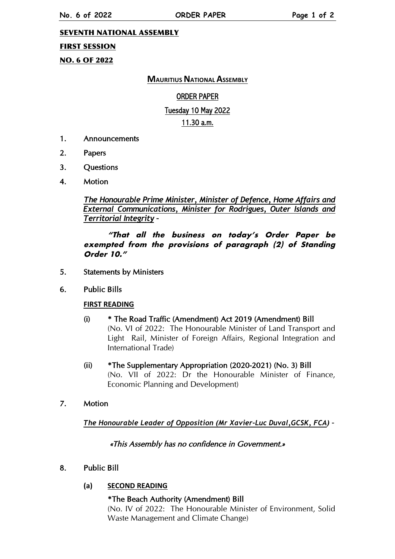### SEVENTH NATIONAL ASSEMBLY

### FIRST SESSION

NO. 6 OF 2022

## **MAURITIUS NATIONAL ASSEMBLY**

## ORDER PAPER

#### Tuesday 10 May 2022

#### 11.30 a.m.

- 1. Announcements
- 2. Papers
- 3. Questions
- 4. Motion

*The Honourable Prime Minister, Minister of Defence, Home Affairs and External Communications, Minister for Rodrigues, Outer Islands and Territorial Integrity –*

**"That all the business on today's Order Paper be exempted from the provisions of paragraph (2) of Standing Order 10."**

- 5. Statements by Ministers
- 6. Public Bills

#### **FIRST READING**

- (i) \* The Road Traffic (Amendment) Act 2019 (Amendment) Bill (No. VI of 2022: The Honourable Minister of Land Transport and Light Rail, Minister of Foreign Affairs, Regional Integration and International Trade)
- (ii) \*The Supplementary Appropriation (2020-2021) (No. 3) Bill (No. VII of 2022: Dr the Honourable Minister of Finance, Economic Planning and Development)
- 7. Motion

*The Honourable Leader of Opposition (Mr Xavier-Luc Duval,GCSK, FCA) –*

«This Assembly has no confidence in Government.»

## 8. Public Bill

## **(a) SECOND READING**

#### \*The Beach Authority (Amendment) Bill

(No. IV of 2022: The Honourable Minister of Environment, Solid Waste Management and Climate Change)